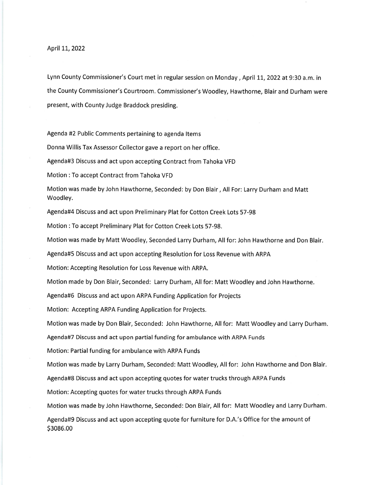April 11, 2022

Lynn County Commissioner's Court met in regular session on Monday, April 11, 2022 at 9:30 a.m. in the County Commissioner's Courtroom. Commissioner's Woodley, Hawthorne, Blair and Durham were present, with County Judge Braddock presiding.

Agenda #2 Public Comments pertaining to agenda ltems

Donna Willis Tax Assessor Collector gave a report on her office.

Agenda#3 Discuss and act upon accepting Contract from Tahoka VFD

Motion : To accept Contract from Tahoka VFD

Motion was made by John Hawthorne, Seconded: by Don Blair, All For: Larry Durham and Matt Woodley.

Agenda#4 Discuss and act upon Preliminary Plat for Cotton Creek Lots 57-98

Motion : To accept Preliminary Plat for Cotton Creek Lots 57-98.

Motion was made by Matt Woodley, Seconded Larry Durham, Allfor: John Hawthorne and Don Blair.

Agenda#S Discuss and act upon accepting Resolution for Loss Revenue with ARPA

Motion: Accepting Resolution for Loss Revenue with ARPA.

Motion made by Don Blair, Seconded: Larry Durham, Allfor: Matt Woodley and John Hawthorne.

Agenda#6 Discuss and act upon ARPA Funding Application for Projects

Motion: Accepting ARPA Funding Application for Projects.

Motion was made by Don Blair, Seconded: John Hawthorne, Allfor: Matt Woodley and Larry Durham.

Agenda#7 Discuss and act upon partial funding for ambulance with ARPA Funds

Motion: Partial funding for ambulance with ARPA Funds

Motion was made by Larry Durham, Seconded: Matt Woodley, All for: John Hawthorne and Don Blair.

Agenda#8 Discuss and act upon accepting quotes for water trucks through ARPA Funds

Motion: Accepting quotes for.water trucks through ARPA Funds

Motion was made by John Hawthorne, Seconded: Don Blair, All for: Matt Woodley and Larry Durham.

Agenda#9 Discuss and act upon accepting quote for furniture for D.A.'s Office for the amount of \$3086.00